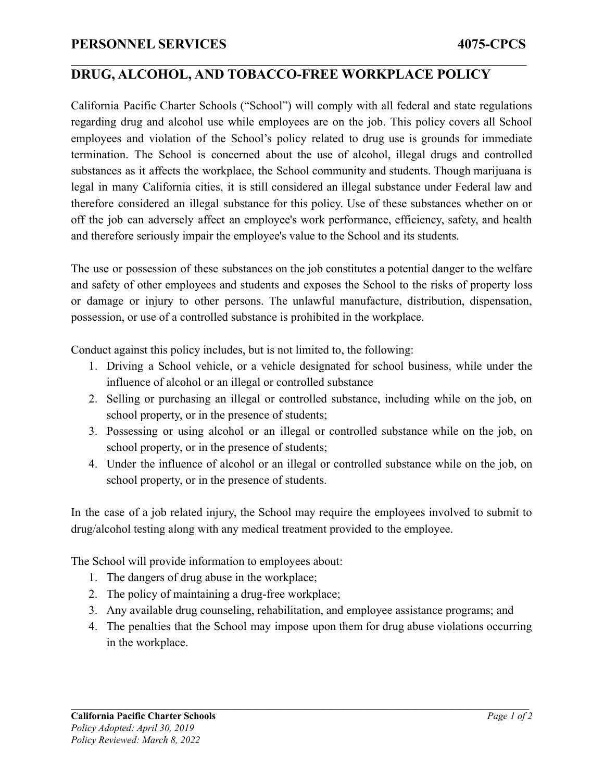## **DRUG, ALCOHOL, AND TOBACCO-FREE WORKPLACE POLICY**

 $\mathcal{L}_\mathcal{L} = \{ \mathcal{L}_\mathcal{L} = \{ \mathcal{L}_\mathcal{L} = \{ \mathcal{L}_\mathcal{L} = \{ \mathcal{L}_\mathcal{L} = \{ \mathcal{L}_\mathcal{L} = \{ \mathcal{L}_\mathcal{L} = \{ \mathcal{L}_\mathcal{L} = \{ \mathcal{L}_\mathcal{L} = \{ \mathcal{L}_\mathcal{L} = \{ \mathcal{L}_\mathcal{L} = \{ \mathcal{L}_\mathcal{L} = \{ \mathcal{L}_\mathcal{L} = \{ \mathcal{L}_\mathcal{L} = \{ \mathcal{L}_\mathcal{$ 

California Pacific Charter Schools ("School") will comply with all federal and state regulations regarding drug and alcohol use while employees are on the job. This policy covers all School employees and violation of the School's policy related to drug use is grounds for immediate termination. The School is concerned about the use of alcohol, illegal drugs and controlled substances as it affects the workplace, the School community and students. Though marijuana is legal in many California cities, it is still considered an illegal substance under Federal law and therefore considered an illegal substance for this policy. Use of these substances whether on or off the job can adversely affect an employee's work performance, efficiency, safety, and health and therefore seriously impair the employee's value to the School and its students.

The use or possession of these substances on the job constitutes a potential danger to the welfare and safety of other employees and students and exposes the School to the risks of property loss or damage or injury to other persons. The unlawful manufacture, distribution, dispensation, possession, or use of a controlled substance is prohibited in the workplace.

Conduct against this policy includes, but is not limited to, the following:

- 1. Driving a School vehicle, or a vehicle designated for school business, while under the influence of alcohol or an illegal or controlled substance
- 2. Selling or purchasing an illegal or controlled substance, including while on the job, on school property, or in the presence of students;
- 3. Possessing or using alcohol or an illegal or controlled substance while on the job, on school property, or in the presence of students;
- 4. Under the influence of alcohol or an illegal or controlled substance while on the job, on school property, or in the presence of students.

In the case of a job related injury, the School may require the employees involved to submit to drug/alcohol testing along with any medical treatment provided to the employee.

The School will provide information to employees about:

- 1. The dangers of drug abuse in the workplace;
- 2. The policy of maintaining a drug-free workplace;
- 3. Any available drug counseling, rehabilitation, and employee assistance programs; and
- 4. The penalties that the School may impose upon them for drug abuse violations occurring in the workplace.